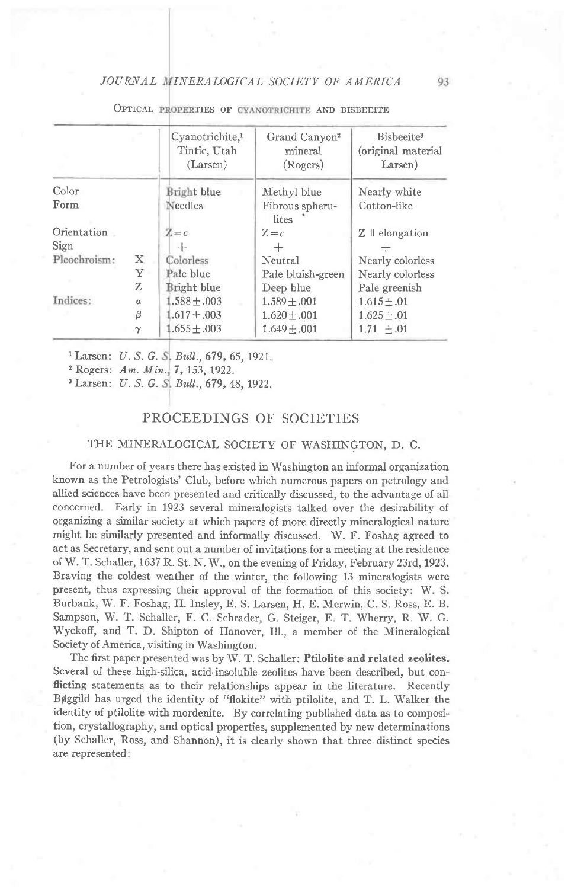### JOURNAL INERALOGICAL SOCIETY OF AMERICA

|              |              | Cyanotrichite. <sup>1</sup><br>Tintic, Utah<br>(Larsen) | Grand Canyon <sup>2</sup><br>mineral<br>(Rogers) | Bisbeeite <sup>3</sup><br>(original material<br>Larsen) |
|--------------|--------------|---------------------------------------------------------|--------------------------------------------------|---------------------------------------------------------|
| Color        |              | Bright blue                                             | Methyl blue                                      | Nearly white                                            |
| Form         |              | Needles                                                 | Fibrous spheru-<br>lites                         | Cotton-like                                             |
| Orientation  |              | $Z = c$                                                 | $Z = c$                                          | $Z \parallel$ elongation                                |
| Sign         |              |                                                         | $^+$                                             |                                                         |
| Pleochroism: | $\mathbf{X}$ | Colorless                                               | Neutral                                          | Nearly colorless                                        |
|              | Υ            | Pale blue                                               | Pale bluish-green                                | Nearly colorless                                        |
|              | Z            | Bright blue                                             | Deep blue                                        | Pale greenish                                           |
| Indices:     | $\alpha$     | $1.588 + 0.003$                                         | $1.589 + .001$                                   | $1.615 \pm .01$                                         |
|              | β            | $1.617 + .003$                                          | $1.620 + 0.001$                                  | $1.625 + .01$                                           |
|              | $\gamma$     | $1.655 + .003$                                          | $1.649 \pm .001$                                 | $1.71 \pm .01$                                          |

OPTICAL PROPERTIES OF CYANOTRICHITE AND BISBEEIT

Larsen: U. S. G. S. Bull., 679, 65, 1921.

<sup>2</sup> Rogers:  $Am. Min, 7, 153, 1922.$ 

<sup>3</sup> Larsen: *U. S. G. S. Bull.*, **679,** 48, 1922.

## PROCEEDINGS OF SOCIETIES

### THE MINERALOGICAL SOCIETY OF WASHINGTON, D. C.

For a number of years there has existed in Washington an informal organization known as the Petrologists' Club, before which numerous papers on petrology and allied sciences have been presented and critically discussed, to the advantage of all concerned. Early in 1p23 several mineralogists talked over the desirability of organizing a similar soclety at which papers of more directly mineralogical nature might be similarly presented and informally discussed. W. F. Foshag agreed to act as Secretary, and serit out a number of invitations for a meeting at the residence of W. T. Schaller, 1637 R. St. N. W., on the evening of Friday, February 23rd,1923. Braving the coldest weather of the winter, the following 13 mineralogists were present, thus expressing their approval of the formation of this society: W. S. Burbank, W. F. Foshag, H. Insley, E. S. Larsen, H. E. Merwin, C. S. Ross, E. B. Sampson, W. T. Schaller, F. C. Schrader, G. Steiger, E. T. Wherry, R. W. G. Wyckoff, and T. D. Shipton of Hanover, Ill., a member of the Mineralogical Society of America, visiting in Washington.

The first paper presented was by W. T. Schaller: Ptilolite and related zeolites. Several of these high-silica, acid-insoluble zeolites have been described, but conflicting statements as to their relationships appear in the literature. Recently Bøggild has urged the identity of "flokite" with ptilolite, and T. L. Walker the identity of ptilolite with mordenite. By correlating published data as to composition, crystallography, and optical properties, supplemented by new determinations (by Schaller, Ross, and Shannon), it is clearly shown that three distinct species are represented: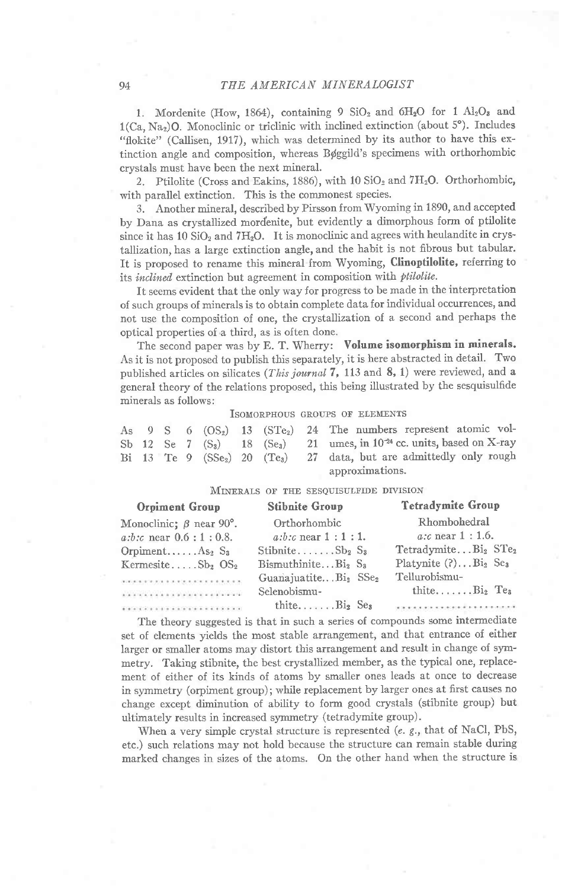1. Mordenite (How, 1864), containing 9  $SiO_2$  and  $6H_2O$  for 1  $Al_2O_3$  and  $1(Ca, Na<sub>2</sub>)$ O. Monoclinic or triclinic with inclined extinction (about 5°). Includes "flokite" (Callisen, 1917), which was determined by its author to have this extinction angle and composition, whereas Bøggild's specimens with orthorhombic crystals must have been the next mineral.

2. Ptilolite (Cross and Eakins, 1886), with  $10 \text{ SiO}_2$  and  $7\text{H}_2\text{O}$ . Orthorhombic, with parallel extinction. This is the commonest species.

3. Another mineral, described by Pirsson from Wyoming in 1890, and accepted by Dana as crystallized mordenite, but evidently a dimorphous fonn of ptilolite since it has 10  $SiO<sub>2</sub>$  and  $7H<sub>2</sub>O$ . It is monoclinic and agrees with heulandite in crystallization, has a large extinction angle, and the habit is not fibrous but tabular. It is proposed to rename this mineral from Wyoming, Clinoptilolite, referring to its inclined extinction but agreement in composition with *ptilolite*.

It seerns evident that the only way for progress to be made in the interpretation of such groups of minerals is to obtain complete data for individual occurrences, and not use the composition of one, the crystallization of a second and perhaps the optical properties of a third, as is often done.

The second paper was by E. T. Wherry: Volume isomorphism in minerals. As it is not proposed to publish this separately, it is here abstracted in detail. Two published articles on silicates (*This journal* 7, 113 and 8, 1) were reviewed, and a general theory of the relations proposed, this being illustrated by the sesquisulfide minerals as follows:

### ISOMORPHOUS GROUPS OF ELEMENTS

|  |  |  |  | As $9 \text{ S}$ 6 $(OS_2)$ 13 $(STe_2)$ 24 The numbers represent atomic vol-               |
|--|--|--|--|---------------------------------------------------------------------------------------------|
|  |  |  |  | Sb 12 Se 7 $(S_3)$ 18 $(S_{e_3})$ 21 umes, in 10 <sup>-24</sup> cc. units, based on X-ray   |
|  |  |  |  | Bi 13 Te 9 (SSe <sub>2</sub> ) 20 (Te <sub>3</sub> ) 27 data, but are admittedly only rough |
|  |  |  |  | approximations.                                                                             |

#### MINERALS OF THE SESQUISULFIDE DIVISION

| Orpiment Group                                                                                                                                                                                                                               | <b>Stibnite Group</b>                        | <b>Tetradymite Group</b>                    |
|----------------------------------------------------------------------------------------------------------------------------------------------------------------------------------------------------------------------------------------------|----------------------------------------------|---------------------------------------------|
| Monoclinic; $\beta$ near 90°.                                                                                                                                                                                                                | Orthorhombic                                 | Rhombohedral                                |
| $a:b:c$ near $0.6:1:0.8$ .                                                                                                                                                                                                                   | $a:b:c$ near $1:1:1$ .                       | $a$ : $c$ near $1:1.6$ .                    |
| Orpiment $As_2 S_3$                                                                                                                                                                                                                          | Stibnite $Sb_2 S_3$                          | TetradymiteBi <sub>2</sub> STe <sub>2</sub> |
| Kermesite $Sb_2 OS_2$                                                                                                                                                                                                                        | $B$ ismuthinite $Bi2$ $S3$                   | Platynite $(?) \dots Bi_2$ Se <sub>3</sub>  |
| $\label{eq:3.1} \mathcal{H}(\mathcal{H})=\mathcal{H}(\mathcal{H})\mathcal{H}(\mathcal{H})=\mathcal{H}(\mathcal{H})\mathcal{H}(\mathcal{H})\mathcal{H}(\mathcal{H})=\mathcal{H}(\mathcal{H})\mathcal{H}(\mathcal{H})\mathcal{H}(\mathcal{H})$ | GuanajuatiteBi <sub>2</sub> SSe <sub>2</sub> | Tellurobismu-                               |
|                                                                                                                                                                                                                                              | Selenobismu-                                 | thite $Bi_2$ Te <sub>3</sub>                |
|                                                                                                                                                                                                                                              | thite $Bi_2$ Se <sub>3</sub>                 | важность совмество больше в нашей           |
|                                                                                                                                                                                                                                              |                                              |                                             |

The theory suggested is that in such a series of compounds some intermediate set of elements yields the most stable arrangement, and that entrance of either Iarger or smaller atoms may distort this arrangement and result in change of synmetry. Taking stibnite, the best crystallized member, as the typical one, replacement of either of its kinds of atoms by smaller ones leads at once to decrease in syrnmetry (orpiment group); while replacement by larger ones at first causes no change except diminution of ability to form good crystals (stibnite group) but ultimately results in increased symmetry (tetradymite group).

When a very simple crystal structure is represented ( $e$ .  $g$ ., that of NaCl, PbS, etc.) such relations may not hold because the structure can remain stable during marked changes in sizes of the atoms. On the other hand when the structure is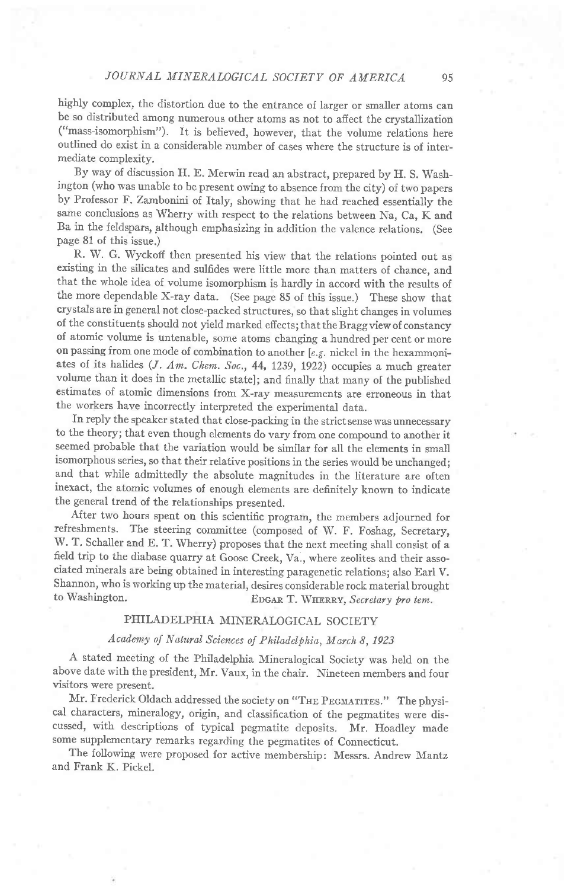highly complex, the distortion due to the entrance of larger or smaller atoms can be so distributed among numerous other atoms as not to affect the crystallization ("mass-isomorphism"). It is believed, however, that the volume relations here outlined do exist in a considerable number of cases where the structure is of intermediate complexity.

By way of discussion H. E. Merwin read an abstract, prepared by H. S. Washington (who was unable to be present owing to absence from the city) of two papers by Professor F. Zambonini of Italy, showing that he had reached essentially the same conclusions as Wherry with respect to the relations between Na, Ca, K and Ba in the feldspars, plthough emphasizing in addition the valence relations. (See page 81 of this issue.)

R. W. G. Wyckofi then presented his view that the relations pointed out as existing in the silicates and sulfides were little more than matters of chance. and that the whole idea of volume isomorphism is hardly in accord with the results of the more dependable X-ray data. (See page 85 of this issue.) These show that crystals are in general not close-packed structures, so that slight changes in volumes of the constituents should not yield marked efiects; that the Braggview of constancy of atomic volume is untenable, some atoms changing a hundred per cent or more on passing from one mode of combination to another [ $e.g.$  nickel in the hexammoniates of its halides  $(J. Am. Chem. Soc., 44, 1239, 1922)$  occupies a much greater volume than it does in the metallic state]; and finally that many of the published estimates of atomic dimensions from X-ray measurements are erroneous in that the workers have incorrectly interpreted the experimental data.

In reply the speaker stated that close-packing in the strict sense was unnecessary to the theory; that even though elements do vary from one compound to another it seemed probable that the variation would be similar for all the elements in small isomorphous series, so that their relative positions in the series would be unchanged; and that while admittedly the absolute magnitudes in the literature are often inexact, the atomic volumes of enough elements are definitely known to indicate the general trend of the relationships presented.

After two hours spent on this scientific program, the members adjourned for refreshments. The steering committee (composed of W. F. Foshag, Secretary, W. T, Schaller and E. T. Wherry) proposes that the next meeting shall consist of a field trip to the diabase quarry at Goose Creek, Va., where zeolites and their associated minerals are being obtained in interesting paragenetic relations; also Earl v. Shannon, who is working up the material, desires considerable rock material brought to Washington.  $E_{\text{DGA}}$  T. WHERRY, Secretary from tem. EDGAR T. WHERRY, Secretary pro tem.

### PHILADELPHIA MINERALOGICAL SOCIETY

## Academy of Natural Sciences of Philadelphia, March 8, 1923

A stated meeting of the Philadelphia Mineralogical Society was held on the above date with the president, Mr. vaux, in the chair. Nineteen members and four visitors were present.

Mr. Frederick Oldach addressed the society on "THE PEGMATITES." The physical characters, mineralogy, origin, and classification of the pegmatites were discussed, with descriptions of typical pegmatite deposits. Mr. Hoadley made some supplementary remarks regarding the pegmatites of Connecticut.

The following were proposed for active membership: Messrs. Andrew Mantz and Frank K. Pickel.